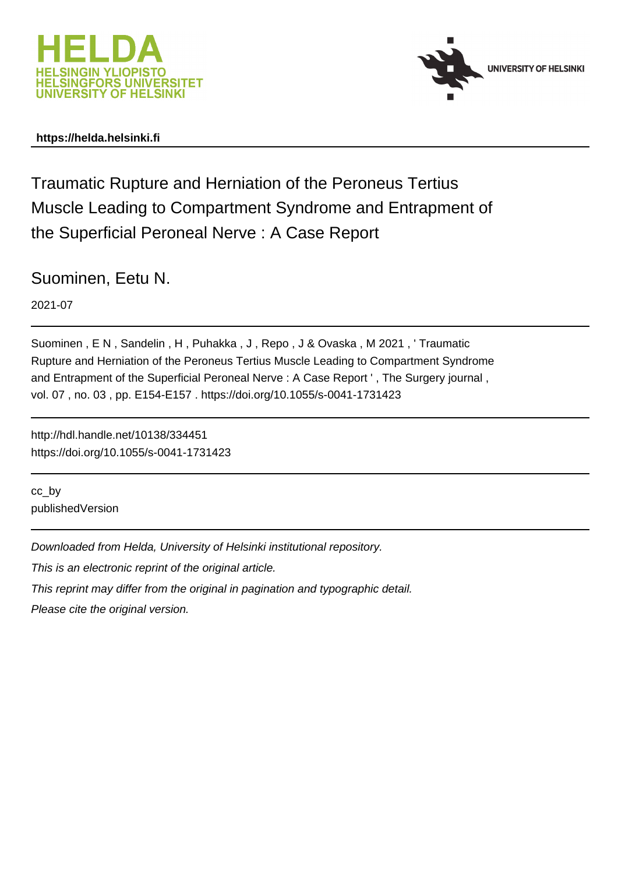



# **https://helda.helsinki.fi**

Traumatic Rupture and Herniation of the Peroneus Tertius Muscle Leading to Compartment Syndrome and Entrapment of the Superficial Peroneal Nerve : A Case Report

Suominen, Eetu N.

2021-07

Suominen , E N , Sandelin , H , Puhakka , J , Repo , J & Ovaska , M 2021 , ' Traumatic Rupture and Herniation of the Peroneus Tertius Muscle Leading to Compartment Syndrome and Entrapment of the Superficial Peroneal Nerve : A Case Report ' , The Surgery journal , vol. 07 , no. 03 , pp. E154-E157 . https://doi.org/10.1055/s-0041-1731423

http://hdl.handle.net/10138/334451 https://doi.org/10.1055/s-0041-1731423

cc\_by publishedVersion

Downloaded from Helda, University of Helsinki institutional repository.

This is an electronic reprint of the original article.

This reprint may differ from the original in pagination and typographic detail.

Please cite the original version.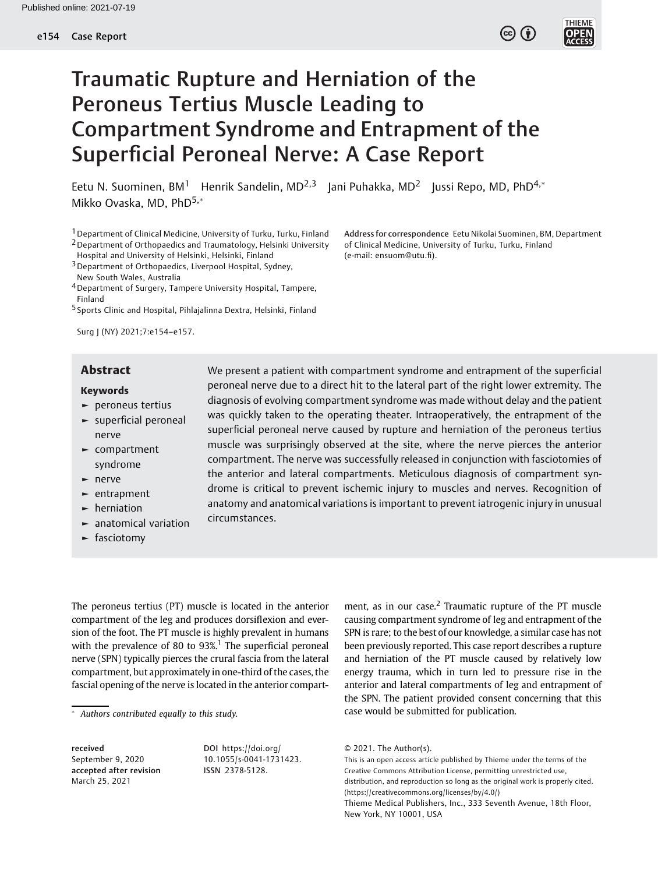

# Traumatic Rupture and Herniation of the Peroneus Tertius Muscle Leading to Compartment Syndrome and Entrapment of the Superficial Peroneal Nerve: A Case Report

Eetu N. Suominen, BM<sup>1</sup> Henrik Sandelin, MD<sup>2,3</sup> Jani Puhakka, MD<sup>2</sup> Jussi Repo, MD, PhD<sup>4,\*</sup> Mikko Ovaska, MD, PhD<sup>5,\*</sup>

<sup>1</sup> Department of Clinical Medicine, University of Turku, Turku, Finland 2Department of Orthopaedics and Traumatology, Helsinki University Hospital and University of Helsinki, Helsinki, Finland

3Department of Orthopaedics, Liverpool Hospital, Sydney, New South Wales, Australia

4Department of Surgery, Tampere University Hospital, Tampere, Finland

5 Sports Clinic and Hospital, Pihlajalinna Dextra, Helsinki, Finland

Surg J (NY) 2021;7:e154–e157.

#### Keywords

- ► peroneus tertius
- ► superficial peroneal nerve
- ► compartment syndrome
- ► nerve
- ► entrapment
- ► herniation
- ► anatomical variation
- ► fasciotomy

Abstract We present a patient with compartment syndrome and entrapment of the superficial peroneal nerve due to a direct hit to the lateral part of the right lower extremity. The diagnosis of evolving compartment syndrome was made without delay and the patient was quickly taken to the operating theater. Intraoperatively, the entrapment of the superficial peroneal nerve caused by rupture and herniation of the peroneus tertius muscle was surprisingly observed at the site, where the nerve pierces the anterior compartment. The nerve was successfully released in conjunction with fasciotomies of the anterior and lateral compartments. Meticulous diagnosis of compartment syndrome is critical to prevent ischemic injury to muscles and nerves. Recognition of anatomy and anatomical variations is important to prevent iatrogenic injury in unusual circumstances.

The peroneus tertius (PT) muscle is located in the anterior compartment of the leg and produces dorsiflexion and eversion of the foot. The PT muscle is highly prevalent in humans with the prevalence of 80 to  $93\%$ <sup>1</sup>. The superficial peroneal nerve (SPN) typically pierces the crural fascia from the lateral compartment, but approximately in one-third of the cases, the fascial opening of the nerve is located in the anterior compart-

received September 9, 2020 accepted after revision March 25, 2021

DOI [https://doi.org/](https://doi.org/10.1055/s-0041-1731423) [10.1055/s-0041-1731423](https://doi.org/10.1055/s-0041-1731423). ISSN 2378-5128.

ment, as in our case. $<sup>2</sup>$  Traumatic rupture of the PT muscle</sup> causing compartment syndrome of leg and entrapment of the SPN is rare; to the best of our knowledge, a similar case has not been previously reported. This case report describes a rupture and herniation of the PT muscle caused by relatively low energy trauma, which in turn led to pressure rise in the anterior and lateral compartments of leg and entrapment of the SPN. The patient provided consent concerning that this case would be submitted for publication.

© 2021. The Author(s). This is an open access article published by Thieme under the terms of the Creative Commons Attribution License, permitting unrestricted use, distribution, and reproduction so long as the original work is properly cited. (https://creativecommons.org/licenses/by/4.0/) Thieme Medical Publishers, Inc., 333 Seventh Avenue, 18th Floor, New York, NY 10001, USA

Address for correspondence Eetu Nikolai Suominen, BM, Department of Clinical Medicine, University of Turku, Turku, Finland (e-mail: [ensuom@utu.](mailto:ensuom@utu.fi)fi).

Authors contributed equally to this study.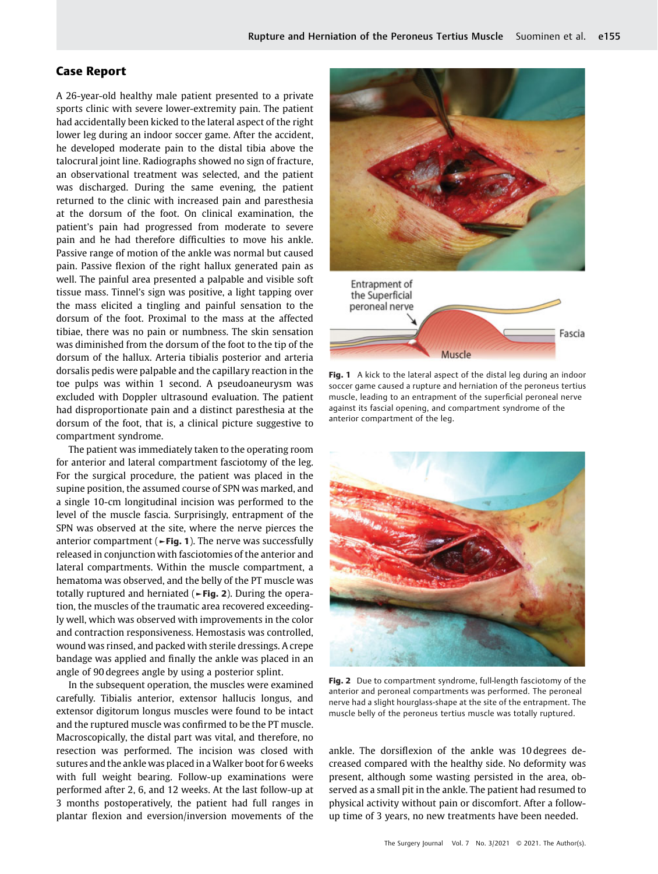# Case Report

A 26-year-old healthy male patient presented to a private sports clinic with severe lower-extremity pain. The patient had accidentally been kicked to the lateral aspect of the right lower leg during an indoor soccer game. After the accident, he developed moderate pain to the distal tibia above the talocrural joint line. Radiographs showed no sign of fracture, an observational treatment was selected, and the patient was discharged. During the same evening, the patient returned to the clinic with increased pain and paresthesia at the dorsum of the foot. On clinical examination, the patient's pain had progressed from moderate to severe pain and he had therefore difficulties to move his ankle. Passive range of motion of the ankle was normal but caused pain. Passive flexion of the right hallux generated pain as well. The painful area presented a palpable and visible soft tissue mass. Tinnel's sign was positive, a light tapping over the mass elicited a tingling and painful sensation to the dorsum of the foot. Proximal to the mass at the affected tibiae, there was no pain or numbness. The skin sensation was diminished from the dorsum of the foot to the tip of the dorsum of the hallux. Arteria tibialis posterior and arteria dorsalis pedis were palpable and the capillary reaction in the toe pulps was within 1 second. A pseudoaneurysm was excluded with Doppler ultrasound evaluation. The patient had disproportionate pain and a distinct paresthesia at the dorsum of the foot, that is, a clinical picture suggestive to compartment syndrome.

The patient was immediately taken to the operating room for anterior and lateral compartment fasciotomy of the leg. For the surgical procedure, the patient was placed in the supine position, the assumed course of SPN was marked, and a single 10-cm longitudinal incision was performed to the level of the muscle fascia. Surprisingly, entrapment of the SPN was observed at the site, where the nerve pierces the anterior compartment ( $\blacktriangleright$ Fig. 1). The nerve was successfully released in conjunction with fasciotomies of the anterior and lateral compartments. Within the muscle compartment, a hematoma was observed, and the belly of the PT muscle was totally ruptured and herniated (►Fig. 2). During the operation, the muscles of the traumatic area recovered exceedingly well, which was observed with improvements in the color and contraction responsiveness. Hemostasis was controlled, wound was rinsed, and packed with sterile dressings. A crepe bandage was applied and finally the ankle was placed in an angle of 90 degrees angle by using a posterior splint.

In the subsequent operation, the muscles were examined carefully. Tibialis anterior, extensor hallucis longus, and extensor digitorum longus muscles were found to be intact and the ruptured muscle was confirmed to be the PT muscle. Macroscopically, the distal part was vital, and therefore, no resection was performed. The incision was closed with sutures and the ankle was placed in a Walker boot for 6 weeks with full weight bearing. Follow-up examinations were performed after 2, 6, and 12 weeks. At the last follow-up at 3 months postoperatively, the patient had full ranges in plantar flexion and eversion/inversion movements of the





Fig. 1 A kick to the lateral aspect of the distal leg during an indoor soccer game caused a rupture and herniation of the peroneus tertius muscle, leading to an entrapment of the superficial peroneal nerve against its fascial opening, and compartment syndrome of the anterior compartment of the leg.



Fig. 2 Due to compartment syndrome, full-length fasciotomy of the anterior and peroneal compartments was performed. The peroneal nerve had a slight hourglass-shape at the site of the entrapment. The muscle belly of the peroneus tertius muscle was totally ruptured.

ankle. The dorsiflexion of the ankle was 10 degrees decreased compared with the healthy side. No deformity was present, although some wasting persisted in the area, observed as a small pit in the ankle. The patient had resumed to physical activity without pain or discomfort. After a followup time of 3 years, no new treatments have been needed.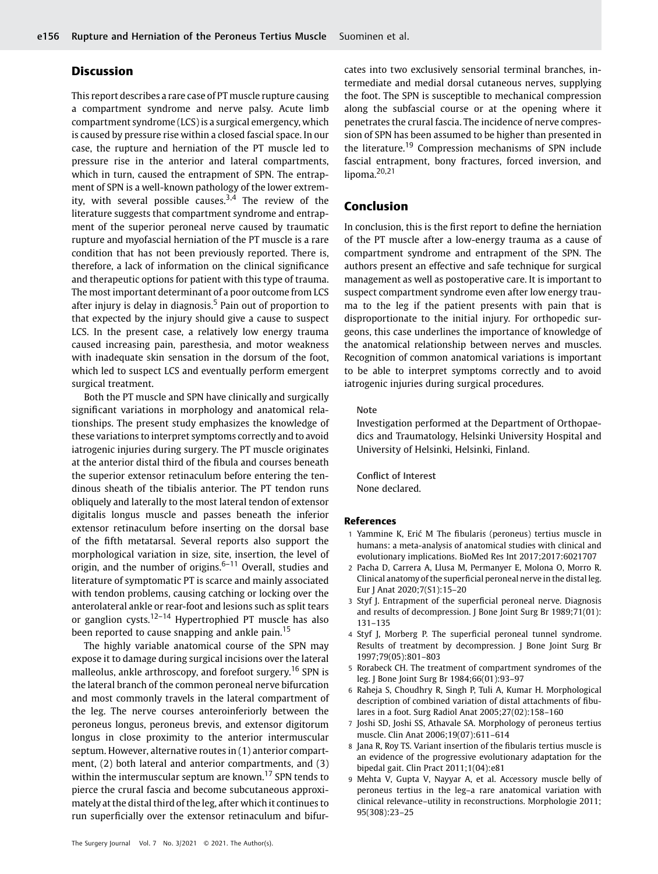## **Discussion**

This report describes a rare case of PT muscle rupture causing a compartment syndrome and nerve palsy. Acute limb compartment syndrome (LCS) is a surgical emergency, which is caused by pressure rise within a closed fascial space. In our case, the rupture and herniation of the PT muscle led to pressure rise in the anterior and lateral compartments, which in turn, caused the entrapment of SPN. The entrapment of SPN is a well-known pathology of the lower extremity, with several possible causes.<sup>3,4</sup> The review of the literature suggests that compartment syndrome and entrapment of the superior peroneal nerve caused by traumatic rupture and myofascial herniation of the PT muscle is a rare condition that has not been previously reported. There is, therefore, a lack of information on the clinical significance and therapeutic options for patient with this type of trauma. The most important determinant of a poor outcome from LCS after injury is delay in diagnosis.<sup>5</sup> Pain out of proportion to that expected by the injury should give a cause to suspect LCS. In the present case, a relatively low energy trauma caused increasing pain, paresthesia, and motor weakness with inadequate skin sensation in the dorsum of the foot, which led to suspect LCS and eventually perform emergent surgical treatment.

Both the PT muscle and SPN have clinically and surgically significant variations in morphology and anatomical relationships. The present study emphasizes the knowledge of these variations to interpret symptoms correctly and to avoid iatrogenic injuries during surgery. The PT muscle originates at the anterior distal third of the fibula and courses beneath the superior extensor retinaculum before entering the tendinous sheath of the tibialis anterior. The PT tendon runs obliquely and laterally to the most lateral tendon of extensor digitalis longus muscle and passes beneath the inferior extensor retinaculum before inserting on the dorsal base of the fifth metatarsal. Several reports also support the morphological variation in size, site, insertion, the level of origin, and the number of origins. $6-11$  Overall, studies and literature of symptomatic PT is scarce and mainly associated with tendon problems, causing catching or locking over the anterolateral ankle or rear-foot and lesions such as split tears or ganglion cysts.<sup>12–14</sup> Hypertrophied PT muscle has also been reported to cause snapping and ankle pain.<sup>15</sup>

The highly variable anatomical course of the SPN may expose it to damage during surgical incisions over the lateral malleolus, ankle arthroscopy, and forefoot surgery.<sup>16</sup> SPN is the lateral branch of the common peroneal nerve bifurcation and most commonly travels in the lateral compartment of the leg. The nerve courses anteroinferiorly between the peroneus longus, peroneus brevis, and extensor digitorum longus in close proximity to the anterior intermuscular septum. However, alternative routes in (1) anterior compartment, (2) both lateral and anterior compartments, and (3) within the intermuscular septum are known.<sup>17</sup> SPN tends to pierce the crural fascia and become subcutaneous approximately at the distal third of the leg, after which it continues to run superficially over the extensor retinaculum and bifur-

cates into two exclusively sensorial terminal branches, intermediate and medial dorsal cutaneous nerves, supplying the foot. The SPN is susceptible to mechanical compression along the subfascial course or at the opening where it penetrates the crural fascia. The incidence of nerve compression of SPN has been assumed to be higher than presented in the literature.<sup>19</sup> Compression mechanisms of SPN include fascial entrapment, bony fractures, forced inversion, and lipoma. $20,21$ 

### Conclusion

In conclusion, this is the first report to define the herniation of the PT muscle after a low-energy trauma as a cause of compartment syndrome and entrapment of the SPN. The authors present an effective and safe technique for surgical management as well as postoperative care. It is important to suspect compartment syndrome even after low energy trauma to the leg if the patient presents with pain that is disproportionate to the initial injury. For orthopedic surgeons, this case underlines the importance of knowledge of the anatomical relationship between nerves and muscles. Recognition of common anatomical variations is important to be able to interpret symptoms correctly and to avoid iatrogenic injuries during surgical procedures.

#### Note

Investigation performed at the Department of Orthopaedics and Traumatology, Helsinki University Hospital and University of Helsinki, Helsinki, Finland.

Conflict of Interest None declared.

#### References

- 1 Yammine K, Erić M The fibularis (peroneus) tertius muscle in humans: a meta-analysis of anatomical studies with clinical and evolutionary implications. BioMed Res Int 2017;2017:6021707
- 2 Pacha D, Carrera A, Llusa M, Permanyer E, Molona O, Morro R. Clinical anatomy of the superficial peroneal nerve in the distal leg. Eur J Anat 2020;7(S1):15–20
- 3 Styf J. Entrapment of the superficial peroneal nerve. Diagnosis and results of decompression. J Bone Joint Surg Br 1989;71(01): 131–135
- 4 Styf J, Morberg P. The superficial peroneal tunnel syndrome. Results of treatment by decompression. J Bone Joint Surg Br 1997;79(05):801–803
- 5 Rorabeck CH. The treatment of compartment syndromes of the leg. J Bone Joint Surg Br 1984;66(01):93–97
- 6 Raheja S, Choudhry R, Singh P, Tuli A, Kumar H. Morphological description of combined variation of distal attachments of fibulares in a foot. Surg Radiol Anat 2005;27(02):158–160
- 7 Joshi SD, Joshi SS, Athavale SA. Morphology of peroneus tertius muscle. Clin Anat 2006;19(07):611–614
- 8 Jana R, Roy TS. Variant insertion of the fibularis tertius muscle is an evidence of the progressive evolutionary adaptation for the bipedal gait. Clin Pract 2011;1(04):e81
- 9 Mehta V, Gupta V, Nayyar A, et al. Accessory muscle belly of peroneus tertius in the leg–a rare anatomical variation with clinical relevance–utility in reconstructions. Morphologie 2011; 95(308):23–25